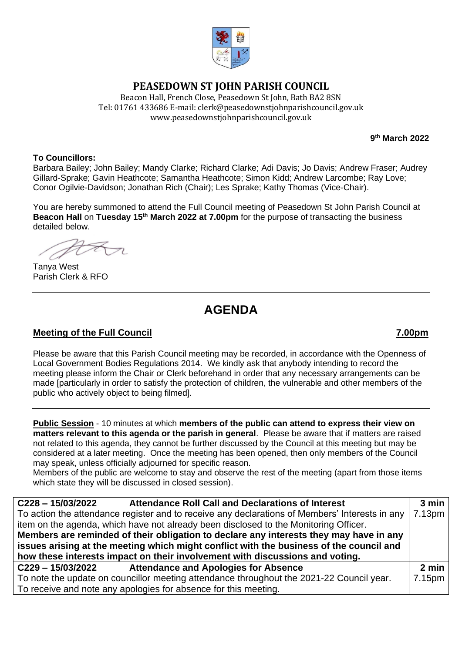

## **PEASEDOWN ST JOHN PARISH COUNCIL**

Beacon Hall, French Close, Peasedown St John, Bath BA2 8SN Tel: 01761 433686 E-mail: clerk@peasedownstjohnparishcouncil.gov.uk [www.peasedownstjohnparishcouncil.gov.uk](http://www.peasedownstjohnparishcouncil.gov.uk/)

**9 th March 2022**

### **To Councillors:**

Barbara Bailey; John Bailey; Mandy Clarke; Richard Clarke; Adi Davis; Jo Davis; Andrew Fraser; Audrey Gillard-Sprake; Gavin Heathcote; Samantha Heathcote; Simon Kidd; Andrew Larcombe; Ray Love; Conor Ogilvie-Davidson; Jonathan Rich (Chair); Les Sprake; Kathy Thomas (Vice-Chair).

You are hereby summoned to attend the Full Council meeting of Peasedown St John Parish Council at **Beacon Hall** on **Tuesday 15th March 2022 at 7.00pm** for the purpose of transacting the business detailed below.

Tanya West Parish Clerk & RFO

# **AGENDA**

## **Meeting of the Full Council 7.00pm**

Please be aware that this Parish Council meeting may be recorded, in accordance with the Openness of Local Government Bodies Regulations 2014. We kindly ask that anybody intending to record the meeting please inform the Chair or Clerk beforehand in order that any necessary arrangements can be made [particularly in order to satisfy the protection of children, the vulnerable and other members of the public who actively object to being filmed].

**Public Session** - 10 minutes at which **members of the public can attend to express their view on matters relevant to this agenda or the parish in general**. Please be aware that if matters are raised not related to this agenda, they cannot be further discussed by the Council at this meeting but may be considered at a later meeting. Once the meeting has been opened, then only members of the Council may speak, unless officially adjourned for specific reason.

Members of the public are welcome to stay and observe the rest of the meeting (apart from those items which state they will be discussed in closed session).

| <b>Attendance Roll Call and Declarations of Interest</b><br>$C228 - 15/03/2022$                | 3 min  |
|------------------------------------------------------------------------------------------------|--------|
| To action the attendance register and to receive any declarations of Members' Interests in any | 7.13pm |
| item on the agenda, which have not already been disclosed to the Monitoring Officer.           |        |
| Members are reminded of their obligation to declare any interests they may have in any         |        |
| issues arising at the meeting which might conflict with the business of the council and        |        |
| how these interests impact on their involvement with discussions and voting.                   |        |
| C229-15/03/2022<br><b>Attendance and Apologies for Absence</b>                                 | 2 min  |
| To note the update on councillor meeting attendance throughout the 2021-22 Council year.       | 7.15pm |
| To receive and note any apologies for absence for this meeting.                                |        |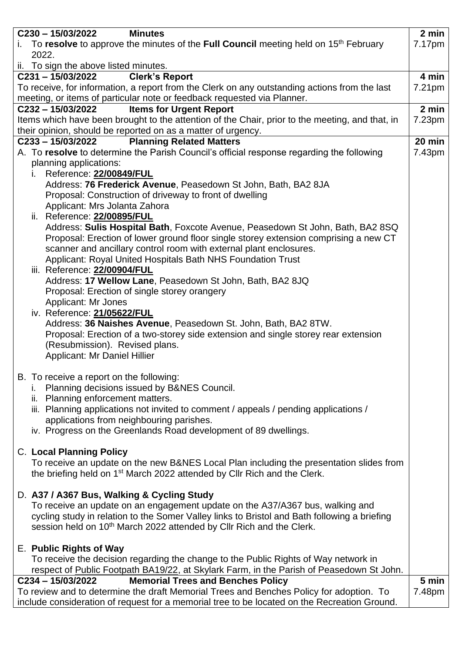| C230-15/03/2022<br><b>Minutes</b>                                                                                            | 2 min  |
|------------------------------------------------------------------------------------------------------------------------------|--------|
| i. To resolve to approve the minutes of the Full Council meeting held on 15 <sup>th</sup> February<br>2022.                  | 7.17pm |
| ii. To sign the above listed minutes.                                                                                        |        |
| $C231 - 15/03/2022$<br><b>Clerk's Report</b>                                                                                 | 4 min  |
| To receive, for information, a report from the Clerk on any outstanding actions from the last                                | 7.21pm |
| meeting, or items of particular note or feedback requested via Planner.<br><b>Items for Urgent Report</b><br>C232-15/03/2022 | 2 min  |
| Items which have been brought to the attention of the Chair, prior to the meeting, and that, in                              | 7.23pm |
| their opinion, should be reported on as a matter of urgency.                                                                 |        |
| <b>Planning Related Matters</b><br>$C233 - 15/03/2022$                                                                       | 20 min |
| A. To resolve to determine the Parish Council's official response regarding the following                                    | 7.43pm |
| planning applications:                                                                                                       |        |
| Reference: 22/00849/FUL<br>i.                                                                                                |        |
| Address: 76 Frederick Avenue, Peasedown St John, Bath, BA2 8JA                                                               |        |
| Proposal: Construction of driveway to front of dwelling                                                                      |        |
| Applicant: Mrs Jolanta Zahora                                                                                                |        |
| ii. Reference: 22/00895/FUL                                                                                                  |        |
| Address: Sulis Hospital Bath, Foxcote Avenue, Peasedown St John, Bath, BA2 8SQ                                               |        |
| Proposal: Erection of lower ground floor single storey extension comprising a new CT                                         |        |
| scanner and ancillary control room with external plant enclosures.                                                           |        |
| Applicant: Royal United Hospitals Bath NHS Foundation Trust                                                                  |        |
| iii. Reference: 22/00904/FUL                                                                                                 |        |
| Address: 17 Wellow Lane, Peasedown St John, Bath, BA2 8JQ                                                                    |        |
| Proposal: Erection of single storey orangery                                                                                 |        |
| Applicant: Mr Jones                                                                                                          |        |
| iv. Reference: 21/05622/FUL                                                                                                  |        |
| Address: 36 Naishes Avenue, Peasedown St. John, Bath, BA2 8TW.                                                               |        |
| Proposal: Erection of a two-storey side extension and single storey rear extension                                           |        |
| (Resubmission). Revised plans.                                                                                               |        |
| Applicant: Mr Daniel Hillier                                                                                                 |        |
|                                                                                                                              |        |
| B. To receive a report on the following:                                                                                     |        |
| Planning decisions issued by B&NES Council.                                                                                  |        |
| ii. Planning enforcement matters.                                                                                            |        |
| iii. Planning applications not invited to comment / appeals / pending applications /                                         |        |
| applications from neighbouring parishes.                                                                                     |        |
| iv. Progress on the Greenlands Road development of 89 dwellings.                                                             |        |
| <b>C. Local Planning Policy</b>                                                                                              |        |
| To receive an update on the new B&NES Local Plan including the presentation slides from                                      |        |
| the briefing held on 1 <sup>st</sup> March 2022 attended by Cllr Rich and the Clerk.                                         |        |
|                                                                                                                              |        |
| D. A37 / A367 Bus, Walking & Cycling Study                                                                                   |        |
| To receive an update on an engagement update on the A37/A367 bus, walking and                                                |        |
| cycling study in relation to the Somer Valley links to Bristol and Bath following a briefing                                 |        |
| session held on 10 <sup>th</sup> March 2022 attended by Cllr Rich and the Clerk.                                             |        |
|                                                                                                                              |        |
| E. Public Rights of Way                                                                                                      |        |
| To receive the decision regarding the change to the Public Rights of Way network in                                          |        |
| respect of Public Footpath BA19/22, at Skylark Farm, in the Parish of Peasedown St John.                                     |        |
| C234-15/03/2022<br><b>Memorial Trees and Benches Policy</b>                                                                  | 5 min  |
| To review and to determine the draft Memorial Trees and Benches Policy for adoption. To                                      | 7.48pm |
| include consideration of request for a memorial tree to be located on the Recreation Ground.                                 |        |
|                                                                                                                              |        |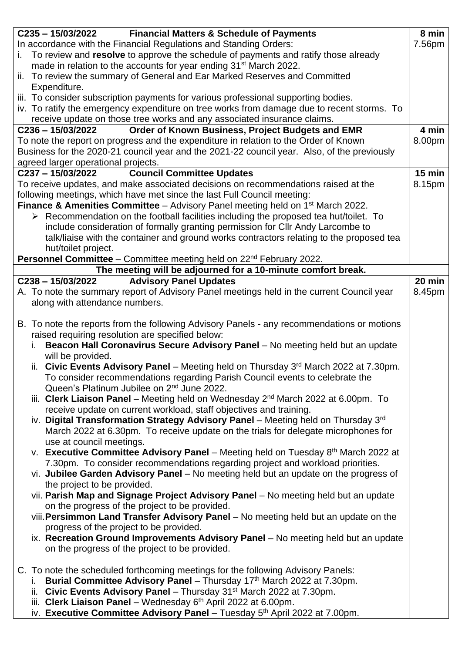| C235-15/03/2022<br><b>Financial Matters &amp; Schedule of Payments</b>                                                                                                                                                                                                                                                                                                                                                                                                                                                                                                                                                                                                                                                                                                                                                                                                                                                                                                                                                                                                                                                                                                                                                                                                                                                                                                                                                                                                                                                                                                                      | 8 min         |
|---------------------------------------------------------------------------------------------------------------------------------------------------------------------------------------------------------------------------------------------------------------------------------------------------------------------------------------------------------------------------------------------------------------------------------------------------------------------------------------------------------------------------------------------------------------------------------------------------------------------------------------------------------------------------------------------------------------------------------------------------------------------------------------------------------------------------------------------------------------------------------------------------------------------------------------------------------------------------------------------------------------------------------------------------------------------------------------------------------------------------------------------------------------------------------------------------------------------------------------------------------------------------------------------------------------------------------------------------------------------------------------------------------------------------------------------------------------------------------------------------------------------------------------------------------------------------------------------|---------------|
| In accordance with the Financial Regulations and Standing Orders:                                                                                                                                                                                                                                                                                                                                                                                                                                                                                                                                                                                                                                                                                                                                                                                                                                                                                                                                                                                                                                                                                                                                                                                                                                                                                                                                                                                                                                                                                                                           | 7.56pm        |
| To review and resolve to approve the schedule of payments and ratify those already<br>i.                                                                                                                                                                                                                                                                                                                                                                                                                                                                                                                                                                                                                                                                                                                                                                                                                                                                                                                                                                                                                                                                                                                                                                                                                                                                                                                                                                                                                                                                                                    |               |
| made in relation to the accounts for year ending 31 <sup>st</sup> March 2022.                                                                                                                                                                                                                                                                                                                                                                                                                                                                                                                                                                                                                                                                                                                                                                                                                                                                                                                                                                                                                                                                                                                                                                                                                                                                                                                                                                                                                                                                                                               |               |
| ii. To review the summary of General and Ear Marked Reserves and Committed                                                                                                                                                                                                                                                                                                                                                                                                                                                                                                                                                                                                                                                                                                                                                                                                                                                                                                                                                                                                                                                                                                                                                                                                                                                                                                                                                                                                                                                                                                                  |               |
| Expenditure.                                                                                                                                                                                                                                                                                                                                                                                                                                                                                                                                                                                                                                                                                                                                                                                                                                                                                                                                                                                                                                                                                                                                                                                                                                                                                                                                                                                                                                                                                                                                                                                |               |
| iii. To consider subscription payments for various professional supporting bodies.                                                                                                                                                                                                                                                                                                                                                                                                                                                                                                                                                                                                                                                                                                                                                                                                                                                                                                                                                                                                                                                                                                                                                                                                                                                                                                                                                                                                                                                                                                          |               |
| iv. To ratify the emergency expenditure on tree works from damage due to recent storms. To                                                                                                                                                                                                                                                                                                                                                                                                                                                                                                                                                                                                                                                                                                                                                                                                                                                                                                                                                                                                                                                                                                                                                                                                                                                                                                                                                                                                                                                                                                  |               |
| receive update on those tree works and any associated insurance claims.                                                                                                                                                                                                                                                                                                                                                                                                                                                                                                                                                                                                                                                                                                                                                                                                                                                                                                                                                                                                                                                                                                                                                                                                                                                                                                                                                                                                                                                                                                                     |               |
| Order of Known Business, Project Budgets and EMR<br>$C236 - 15/03/2022$                                                                                                                                                                                                                                                                                                                                                                                                                                                                                                                                                                                                                                                                                                                                                                                                                                                                                                                                                                                                                                                                                                                                                                                                                                                                                                                                                                                                                                                                                                                     | 4 min         |
| To note the report on progress and the expenditure in relation to the Order of Known                                                                                                                                                                                                                                                                                                                                                                                                                                                                                                                                                                                                                                                                                                                                                                                                                                                                                                                                                                                                                                                                                                                                                                                                                                                                                                                                                                                                                                                                                                        | 8.00pm        |
| Business for the 2020-21 council year and the 2021-22 council year. Also, of the previously                                                                                                                                                                                                                                                                                                                                                                                                                                                                                                                                                                                                                                                                                                                                                                                                                                                                                                                                                                                                                                                                                                                                                                                                                                                                                                                                                                                                                                                                                                 |               |
| agreed larger operational projects.                                                                                                                                                                                                                                                                                                                                                                                                                                                                                                                                                                                                                                                                                                                                                                                                                                                                                                                                                                                                                                                                                                                                                                                                                                                                                                                                                                                                                                                                                                                                                         |               |
| <b>Council Committee Updates</b><br>C237-15/03/2022                                                                                                                                                                                                                                                                                                                                                                                                                                                                                                                                                                                                                                                                                                                                                                                                                                                                                                                                                                                                                                                                                                                                                                                                                                                                                                                                                                                                                                                                                                                                         | <b>15 min</b> |
| To receive updates, and make associated decisions on recommendations raised at the                                                                                                                                                                                                                                                                                                                                                                                                                                                                                                                                                                                                                                                                                                                                                                                                                                                                                                                                                                                                                                                                                                                                                                                                                                                                                                                                                                                                                                                                                                          | 8.15pm        |
| following meetings, which have met since the last Full Council meeting:                                                                                                                                                                                                                                                                                                                                                                                                                                                                                                                                                                                                                                                                                                                                                                                                                                                                                                                                                                                                                                                                                                                                                                                                                                                                                                                                                                                                                                                                                                                     |               |
| <b>Finance &amp; Amenities Committee</b> – Advisory Panel meeting held on $1st$ March 2022.                                                                                                                                                                                                                                                                                                                                                                                                                                                                                                                                                                                                                                                                                                                                                                                                                                                                                                                                                                                                                                                                                                                                                                                                                                                                                                                                                                                                                                                                                                 |               |
| $\triangleright$ Recommendation on the football facilities including the proposed tea hut/toilet. To                                                                                                                                                                                                                                                                                                                                                                                                                                                                                                                                                                                                                                                                                                                                                                                                                                                                                                                                                                                                                                                                                                                                                                                                                                                                                                                                                                                                                                                                                        |               |
| include consideration of formally granting permission for CIIr Andy Larcombe to                                                                                                                                                                                                                                                                                                                                                                                                                                                                                                                                                                                                                                                                                                                                                                                                                                                                                                                                                                                                                                                                                                                                                                                                                                                                                                                                                                                                                                                                                                             |               |
| talk/liaise with the container and ground works contractors relating to the proposed tea                                                                                                                                                                                                                                                                                                                                                                                                                                                                                                                                                                                                                                                                                                                                                                                                                                                                                                                                                                                                                                                                                                                                                                                                                                                                                                                                                                                                                                                                                                    |               |
| hut/toilet project.                                                                                                                                                                                                                                                                                                                                                                                                                                                                                                                                                                                                                                                                                                                                                                                                                                                                                                                                                                                                                                                                                                                                                                                                                                                                                                                                                                                                                                                                                                                                                                         |               |
| <b>Personnel Committee</b> – Committee meeting held on 22 <sup>nd</sup> February 2022.                                                                                                                                                                                                                                                                                                                                                                                                                                                                                                                                                                                                                                                                                                                                                                                                                                                                                                                                                                                                                                                                                                                                                                                                                                                                                                                                                                                                                                                                                                      |               |
| The meeting will be adjourned for a 10-minute comfort break.                                                                                                                                                                                                                                                                                                                                                                                                                                                                                                                                                                                                                                                                                                                                                                                                                                                                                                                                                                                                                                                                                                                                                                                                                                                                                                                                                                                                                                                                                                                                |               |
| $C238 - 15/03/2022$<br><b>Advisory Panel Updates</b>                                                                                                                                                                                                                                                                                                                                                                                                                                                                                                                                                                                                                                                                                                                                                                                                                                                                                                                                                                                                                                                                                                                                                                                                                                                                                                                                                                                                                                                                                                                                        | 20 min        |
| A. To note the summary report of Advisory Panel meetings held in the current Council year                                                                                                                                                                                                                                                                                                                                                                                                                                                                                                                                                                                                                                                                                                                                                                                                                                                                                                                                                                                                                                                                                                                                                                                                                                                                                                                                                                                                                                                                                                   | 8.45pm        |
|                                                                                                                                                                                                                                                                                                                                                                                                                                                                                                                                                                                                                                                                                                                                                                                                                                                                                                                                                                                                                                                                                                                                                                                                                                                                                                                                                                                                                                                                                                                                                                                             |               |
| along with attendance numbers.                                                                                                                                                                                                                                                                                                                                                                                                                                                                                                                                                                                                                                                                                                                                                                                                                                                                                                                                                                                                                                                                                                                                                                                                                                                                                                                                                                                                                                                                                                                                                              |               |
| B. To note the reports from the following Advisory Panels - any recommendations or motions<br>raised requiring resolution are specified below:<br>Beacon Hall Coronavirus Secure Advisory Panel - No meeting held but an update<br>i.<br>will be provided.<br>ii. Civic Events Advisory Panel - Meeting held on Thursday 3rd March 2022 at 7.30pm.<br>To consider recommendations regarding Parish Council events to celebrate the<br>Queen's Platinum Jubilee on 2 <sup>nd</sup> June 2022.<br>iii. Clerk Liaison Panel - Meeting held on Wednesday 2 <sup>nd</sup> March 2022 at 6.00pm. To<br>receive update on current workload, staff objectives and training.<br>iv. Digital Transformation Strategy Advisory Panel - Meeting held on Thursday 3rd<br>March 2022 at 6.30pm. To receive update on the trials for delegate microphones for<br>use at council meetings.<br>v. Executive Committee Advisory Panel – Meeting held on Tuesday $8th$ March 2022 at<br>7.30pm. To consider recommendations regarding project and workload priorities.<br>vi. Jubilee Garden Advisory Panel - No meeting held but an update on the progress of<br>the project to be provided.<br>vii. Parish Map and Signage Project Advisory Panel - No meeting held but an update<br>on the progress of the project to be provided.<br>viii. Persimmon Land Transfer Advisory Panel – No meeting held but an update on the<br>progress of the project to be provided.<br>ix. Recreation Ground Improvements Advisory Panel - No meeting held but an update<br>on the progress of the project to be provided. |               |
| C. To note the scheduled forthcoming meetings for the following Advisory Panels:<br>Burial Committee Advisory Panel - Thursday 17th March 2022 at 7.30pm.<br>Ĺ.<br>ii. Civic Events Advisory Panel - Thursday 31 <sup>st</sup> March 2022 at 7.30pm.<br>iii. Clerk Liaison Panel - Wednesday 6th April 2022 at 6.00pm.<br>iv. Executive Committee Advisory Panel - Tuesday 5 <sup>th</sup> April 2022 at 7.00pm.                                                                                                                                                                                                                                                                                                                                                                                                                                                                                                                                                                                                                                                                                                                                                                                                                                                                                                                                                                                                                                                                                                                                                                            |               |